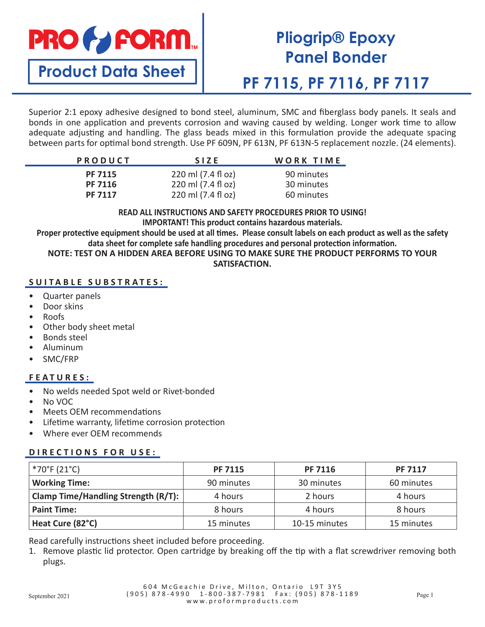

## **Pliogrip® Epoxy Panel Bonder**

**PF 7115, PF 7116, PF 7117**

Superior 2:1 epoxy adhesive designed to bond steel, aluminum, SMC and fiberglass body panels. It seals and bonds in one application and prevents corrosion and waving caused by welding. Longer work time to allow adequate adjusting and handling. The glass beads mixed in this formulation provide the adequate spacing between parts for optimal bond strength. Use PF 609N, PF 613N, PF 613N-5 replacement nozzle. (24 elements).

| <b>PRODUCT</b>                                     | <b>SIZE</b>                              | WORK TIME                |
|----------------------------------------------------|------------------------------------------|--------------------------|
| <b>PF 7115</b><br><b>PF 7116</b><br><b>PF 7117</b> | 220 ml (7.4 fl oz)<br>220 ml (7.4 fl oz) | 90 minutes<br>30 minutes |
|                                                    | 220 ml (7.4 fl oz)                       | 60 minutes               |

**READ ALL INSTRUCTIONS AND SAFETY PROCEDURES PRIOR TO USING! IMPORTANT! This product contains hazardous materials.**

**Proper protective equipment should be used at all times. Please consult labels on each product as well as the safety data sheet for complete safe handling procedures and personal protection information. NOTE: TEST ON A HIDDEN AREA BEFORE USING TO MAKE SURE THE PRODUCT PERFORMS TO YOUR SATISFACTION.**

### **SUITABLE SUBSTRATES:**

- Quarter panels
- Door skins
- Roofs
- Other body sheet metal
- Bonds steel
- Aluminum
- SMC/FRP

#### **FEATURES:**

- No welds needed Spot weld or Rivet-bonded
- No VOC
- Meets OEM recommendations
- Lifetime warranty, lifetime corrosion protection
- Where ever OEM recommends

#### **DIRECTIONS FOR USE:**

| *70°F (21°C)                        | <b>PF 7115</b> | <b>PF 7116</b> | <b>PF 7117</b> |
|-------------------------------------|----------------|----------------|----------------|
| <b>Working Time:</b>                | 90 minutes     | 30 minutes     | 60 minutes     |
| Clamp Time/Handling Strength (R/T): | 4 hours        | 2 hours        | 4 hours        |
| <b>Paint Time:</b>                  | 8 hours        | 4 hours        | 8 hours        |
| Heat Cure (82°C)                    | 15 minutes     | 10-15 minutes  | 15 minutes     |

Read carefully instructions sheet included before proceeding.

1. Remove plastic lid protector. Open cartridge by breaking off the tip with a flat screwdriver removing both plugs.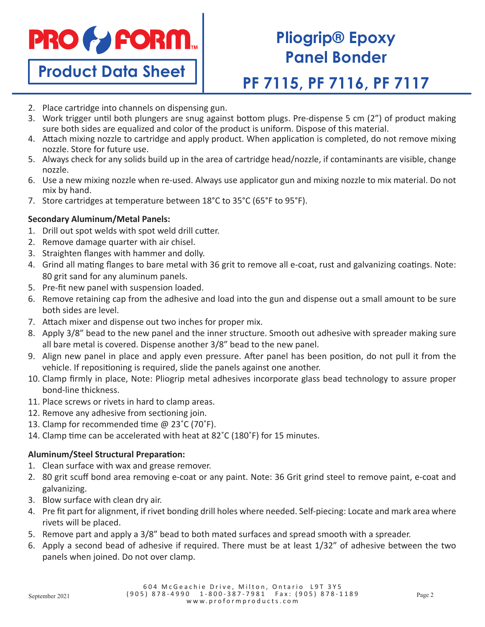

# **Pliogrip® Epoxy Panel Bonder**

## **PF 7115, PF 7116, PF 7117**

- 2. Place cartridge into channels on dispensing gun.
- 3. Work trigger until both plungers are snug against bottom plugs. Pre-dispense 5 cm (2") of product making sure both sides are equalized and color of the product is uniform. Dispose of this material.
- 4. Attach mixing nozzle to cartridge and apply product. When application is completed, do not remove mixing nozzle. Store for future use.
- 5. Always check for any solids build up in the area of cartridge head/nozzle, if contaminants are visible, change nozzle.
- 6. Use a new mixing nozzle when re-used. Always use applicator gun and mixing nozzle to mix material. Do not mix by hand.
- 7. Store cartridges at temperature between 18°C to 35°C (65°F to 95°F).

### **Secondary Aluminum/Metal Panels:**

- 1. Drill out spot welds with spot weld drill cutter.
- 2. Remove damage quarter with air chisel.
- 3. Straighten flanges with hammer and dolly.
- 4. Grind all mating flanges to bare metal with 36 grit to remove all e-coat, rust and galvanizing coatings. Note: 80 grit sand for any aluminum panels.
- 5. Pre-fit new panel with suspension loaded.
- 6. Remove retaining cap from the adhesive and load into the gun and dispense out a small amount to be sure both sides are level.
- 7. Attach mixer and dispense out two inches for proper mix.
- 8. Apply 3/8" bead to the new panel and the inner structure. Smooth out adhesive with spreader making sure all bare metal is covered. Dispense another 3/8" bead to the new panel.
- 9. Align new panel in place and apply even pressure. After panel has been position, do not pull it from the vehicle. If repositioning is required, slide the panels against one another.
- 10. Clamp firmly in place, Note: Pliogrip metal adhesives incorporate glass bead technology to assure proper bond-line thickness.
- 11. Place screws or rivets in hard to clamp areas.
- 12. Remove any adhesive from sectioning join.
- 13. Clamp for recommended time @ 23˚C (70˚F).
- 14. Clamp time can be accelerated with heat at 82˚C (180˚F) for 15 minutes.

### **Aluminum/Steel Structural Preparation:**

- 1. Clean surface with wax and grease remover.
- 2. 80 grit scuff bond area removing e-coat or any paint. Note: 36 Grit grind steel to remove paint, e-coat and galvanizing.
- 3. Blow surface with clean dry air.
- 4. Pre fit part for alignment, if rivet bonding drill holes where needed. Self-piecing: Locate and mark area where rivets will be placed.
- 5. Remove part and apply a 3/8" bead to both mated surfaces and spread smooth with a spreader.
- 6. Apply a second bead of adhesive if required. There must be at least 1/32" of adhesive between the two panels when joined. Do not over clamp.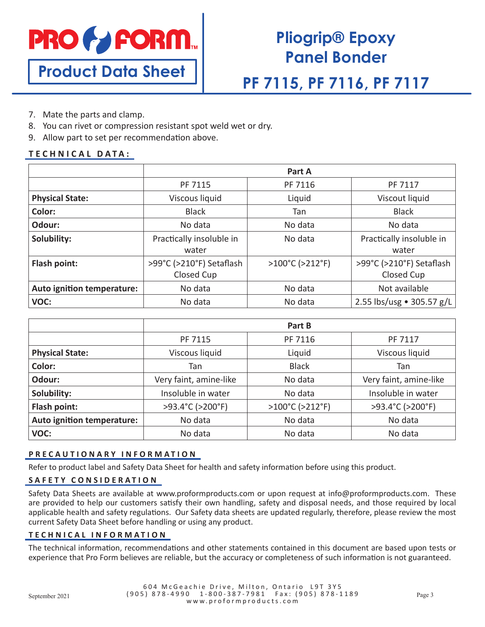

# **Pliogrip® Epoxy Panel Bonder**

### **PF 7115, PF 7116, PF 7117**

- 7. Mate the parts and clamp.
- 8. You can rivet or compression resistant spot weld wet or dry.
- 9. Allow part to set per recommendation above.

#### **TECHNICAL DATA:**

|                            | Part A                   |                                      |                           |
|----------------------------|--------------------------|--------------------------------------|---------------------------|
|                            | PF 7115                  | PF 7116                              | PF 7117                   |
| <b>Physical State:</b>     | Viscous liquid           | Liquid                               | Viscout liquid            |
| Color:                     | <b>Black</b>             | Tan                                  | <b>Black</b>              |
| Odour:                     | No data                  | No data                              | No data                   |
| Solubility:                | Practically insoluble in | No data                              | Practically insoluble in  |
|                            | water                    |                                      | water                     |
| Flash point:               | >99°C (>210°F) Setaflash | $>100^{\circ}$ C ( $>212^{\circ}$ F) | >99°C (>210°F) Setaflash  |
|                            | Closed Cup               |                                      | Closed Cup                |
| Auto ignition temperature: | No data                  | No data                              | Not available             |
| VOC:                       | No data                  | No data                              | 2.55 lbs/usg • 305.57 g/L |

|                            | Part B                 |                 |                        |  |
|----------------------------|------------------------|-----------------|------------------------|--|
|                            | PF 7115                | PF 7116         | PF 7117                |  |
| <b>Physical State:</b>     | Viscous liquid         | Liquid          | Viscous liquid         |  |
| Color:                     | Tan                    | <b>Black</b>    | Tan                    |  |
| Odour:                     | Very faint, amine-like | No data         | Very faint, amine-like |  |
| Solubility:                | Insoluble in water     | No data         | Insoluble in water     |  |
| Flash point:               | >93.4°C (>200°F)       | >100°C (>212°F) | >93.4°C (>200°F)       |  |
| Auto ignition temperature: | No data                | No data         | No data                |  |
| VOC:                       | No data                | No data         | No data                |  |

#### **PRECAUTIONARY INFORMATION**

Refer to product label and Safety Data Sheet for health and safety information before using this product.

#### **SAFETY CONSIDERATION**

Safety Data Sheets are available at www.proformproducts.com or upon request at info@proformproducts.com. These are provided to help our customers satisfy their own handling, safety and disposal needs, and those required by local applicable health and safety regulations. Our Safety data sheets are updated regularly, therefore, please review the most current Safety Data Sheet before handling or using any product.

#### **TECHNICAL INFORMATION**

The technical information, recommendations and other statements contained in this document are based upon tests or experience that Pro Form believes are reliable, but the accuracy or completeness of such information is not guaranteed.